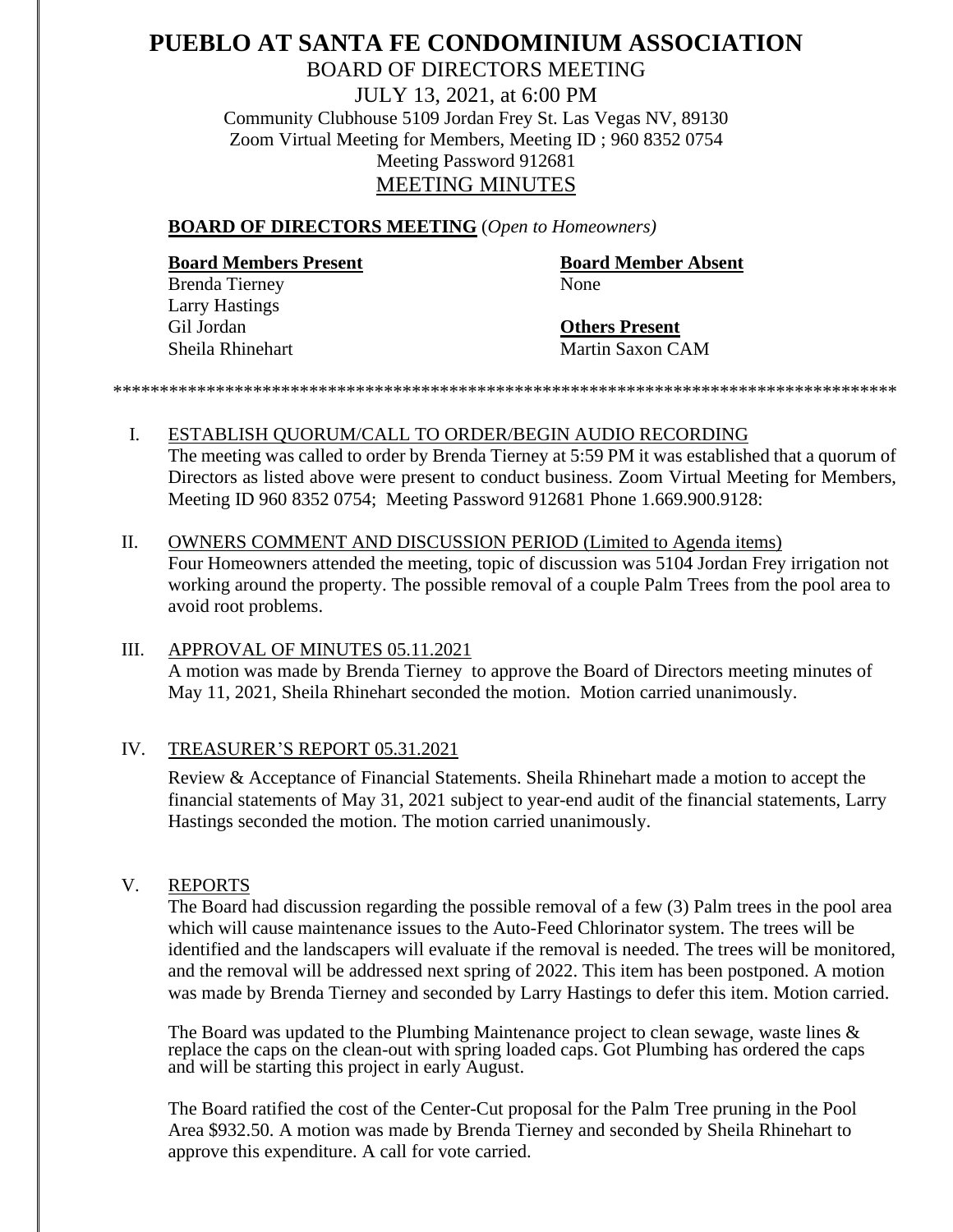## **PUEBLO AT SANTA FE CONDOMINIUM ASSOCIATION** BOARD OF DIRECTORS MEETING JULY 13, 2021, at 6:00 PM Community Clubhouse 5109 Jordan Frey St. Las Vegas NV, 89130 Zoom Virtual Meeting for Members, Meeting ID ; 960 8352 0754 Meeting Password 912681 MEETING MINUTES

#### **BOARD OF DIRECTORS MEETING** (*Open to Homeowners)*

# **Board Members Present Board Member Absent** Brenda Tierney None Larry Hastings

Gil Jordan **Others Present** Sheila Rhinehart Martin Saxon CAM

*\*\*\*\*\*\*\*\*\*\*\*\*\*\*\*\*\*\*\*\*\*\*\*\*\*\*\*\*\*\*\*\*\*\*\*\*\*\*\*\*\*\*\*\*\*\*\*\*\*\*\*\*\*\*\*\*\*\*\*\*\*\*\*\*\*\*\*\*\*\*\*\*\*\*\*\*\*\*\*\*\*\*\*\**

- I. ESTABLISH QUORUM/CALL TO ORDER/BEGIN AUDIO RECORDING The meeting was called to order by Brenda Tierney at 5:59 PM it was established that a quorum of Directors as listed above were present to conduct business. Zoom Virtual Meeting for Members,
- Meeting ID 960 8352 0754; Meeting Password 912681 Phone 1.669.900.9128: II. OWNERS COMMENT AND DISCUSSION PERIOD (Limited to Agenda items) Four Homeowners attended the meeting, topic of discussion was 5104 Jordan Frey irrigation not

working around the property. The possible removal of a couple Palm Trees from the pool area to avoid root problems.

## III. APPROVAL OF MINUTES 05.11.2021

A motion was made by Brenda Tierney to approve the Board of Directors meeting minutes of May 11, 2021, Sheila Rhinehart seconded the motion. Motion carried unanimously.

## IV. TREASURER'S REPORT 05.31.2021

Review & Acceptance of Financial Statements. Sheila Rhinehart made a motion to accept the financial statements of May 31, 2021 subject to year-end audit of the financial statements, Larry Hastings seconded the motion. The motion carried unanimously.

## V. REPORTS

The Board had discussion regarding the possible removal of a few (3) Palm trees in the pool area which will cause maintenance issues to the Auto-Feed Chlorinator system. The trees will be identified and the landscapers will evaluate if the removal is needed. The trees will be monitored, and the removal will be addressed next spring of 2022. This item has been postponed. A motion was made by Brenda Tierney and seconded by Larry Hastings to defer this item. Motion carried.

The Board was updated to the Plumbing Maintenance project to clean sewage, waste lines & replace the caps on the clean-out with spring loaded caps. Got Plumbing has ordered the caps and will be starting this project in early August.

The Board ratified the cost of the Center-Cut proposal for the Palm Tree pruning in the Pool Area \$932.50. A motion was made by Brenda Tierney and seconded by Sheila Rhinehart to approve this expenditure. A call for vote carried.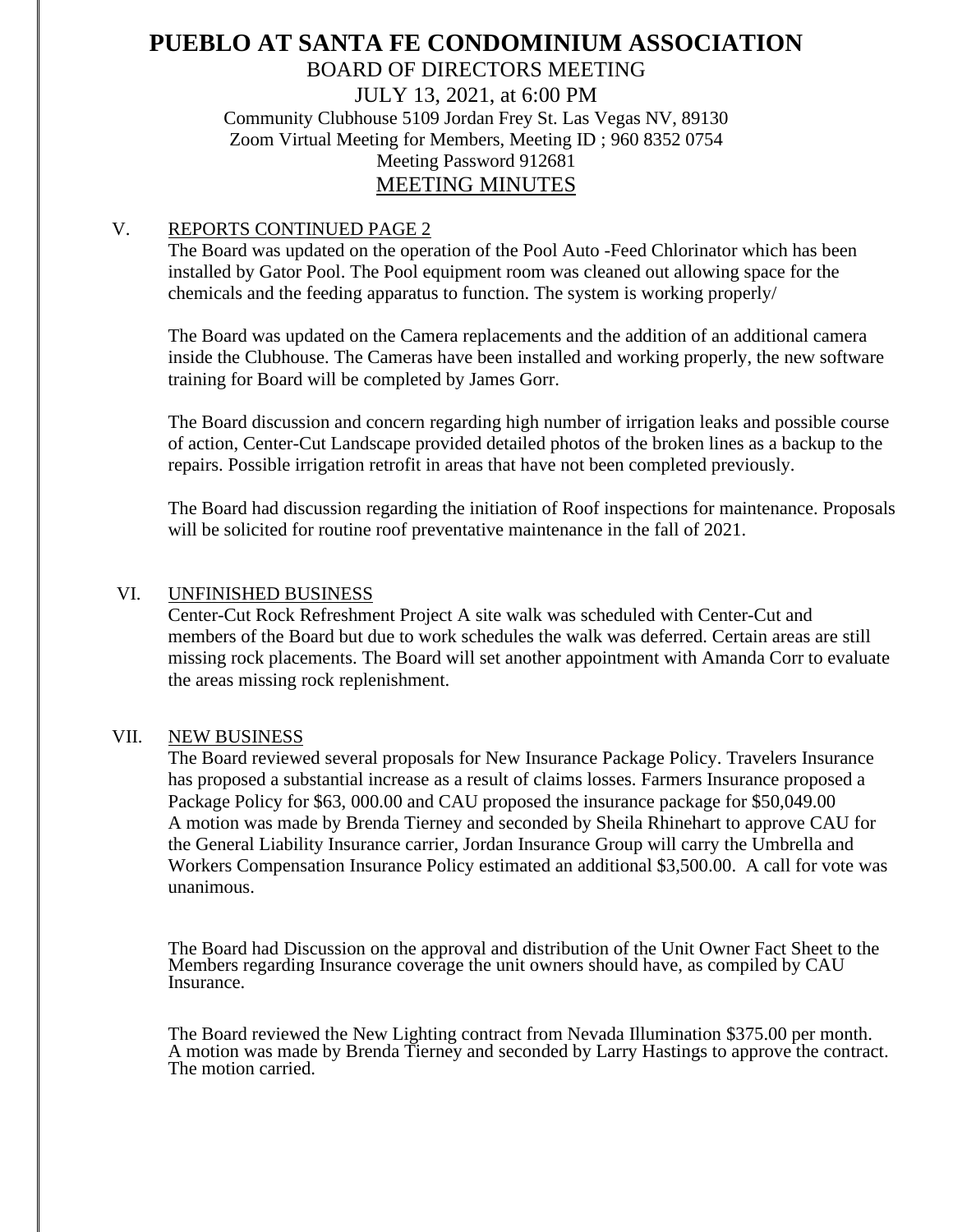## **PUEBLO AT SANTA FE CONDOMINIUM ASSOCIATION** BOARD OF DIRECTORS MEETING JULY 13, 2021, at 6:00 PM Community Clubhouse 5109 Jordan Frey St. Las Vegas NV, 89130 Zoom Virtual Meeting for Members, Meeting ID ; 960 8352 0754 Meeting Password 912681 MEETING MINUTES

## V. REPORTS CONTINUED PAGE 2

The Board was updated on the operation of the Pool Auto -Feed Chlorinator which has been installed by Gator Pool. The Pool equipment room was cleaned out allowing space for the chemicals and the feeding apparatus to function. The system is working properly/

The Board was updated on the Camera replacements and the addition of an additional camera inside the Clubhouse. The Cameras have been installed and working properly, the new software training for Board will be completed by James Gorr.

The Board discussion and concern regarding high number of irrigation leaks and possible course of action, Center-Cut Landscape provided detailed photos of the broken lines as a backup to the repairs. Possible irrigation retrofit in areas that have not been completed previously.

The Board had discussion regarding the initiation of Roof inspections for maintenance. Proposals will be solicited for routine roof preventative maintenance in the fall of 2021.

## VI. UNFINISHED BUSINESS

Center-Cut Rock Refreshment Project A site walk was scheduled with Center-Cut and members of the Board but due to work schedules the walk was deferred. Certain areas are still missing rock placements. The Board will set another appointment with Amanda Corr to evaluate the areas missing rock replenishment.

## VII. NEW BUSINESS

The Board reviewed several proposals for New Insurance Package Policy. Travelers Insurance has proposed a substantial increase as a result of claims losses. Farmers Insurance proposed a Package Policy for \$63, 000.00 and CAU proposed the insurance package for \$50,049.00 A motion was made by Brenda Tierney and seconded by Sheila Rhinehart to approve CAU for the General Liability Insurance carrier, Jordan Insurance Group will carry the Umbrella and Workers Compensation Insurance Policy estimated an additional \$3,500.00. A call for vote was unanimous.

The Board had Discussion on the approval and distribution of the Unit Owner Fact Sheet to the Members regarding Insurance coverage the unit owners should have, as compiled by CAU Insurance.

The Board reviewed the New Lighting contract from Nevada Illumination \$375.00 per month. A motion was made by Brenda Tierney and seconded by Larry Hastings to approve the contract. The motion carried.